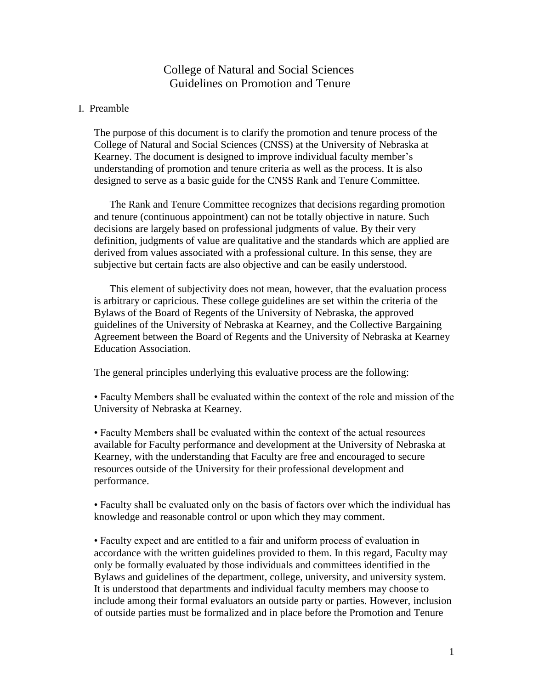# College of Natural and Social Sciences Guidelines on Promotion and Tenure

## I. Preamble

The purpose of this document is to clarify the promotion and tenure process of the College of Natural and Social Sciences (CNSS) at the University of Nebraska at Kearney. The document is designed to improve individual faculty member's understanding of promotion and tenure criteria as well as the process. It is also designed to serve as a basic guide for the CNSS Rank and Tenure Committee.

The Rank and Tenure Committee recognizes that decisions regarding promotion and tenure (continuous appointment) can not be totally objective in nature. Such decisions are largely based on professional judgments of value. By their very definition, judgments of value are qualitative and the standards which are applied are derived from values associated with a professional culture. In this sense, they are subjective but certain facts are also objective and can be easily understood.

This element of subjectivity does not mean, however, that the evaluation process is arbitrary or capricious. These college guidelines are set within the criteria of the Bylaws of the Board of Regents of the University of Nebraska, the approved guidelines of the University of Nebraska at Kearney, and the Collective Bargaining Agreement between the Board of Regents and the University of Nebraska at Kearney Education Association.

The general principles underlying this evaluative process are the following:

• Faculty Members shall be evaluated within the context of the role and mission of the University of Nebraska at Kearney.

• Faculty Members shall be evaluated within the context of the actual resources available for Faculty performance and development at the University of Nebraska at Kearney, with the understanding that Faculty are free and encouraged to secure resources outside of the University for their professional development and performance.

• Faculty shall be evaluated only on the basis of factors over which the individual has knowledge and reasonable control or upon which they may comment.

• Faculty expect and are entitled to a fair and uniform process of evaluation in accordance with the written guidelines provided to them. In this regard, Faculty may only be formally evaluated by those individuals and committees identified in the Bylaws and guidelines of the department, college, university, and university system. It is understood that departments and individual faculty members may choose to include among their formal evaluators an outside party or parties. However, inclusion of outside parties must be formalized and in place before the Promotion and Tenure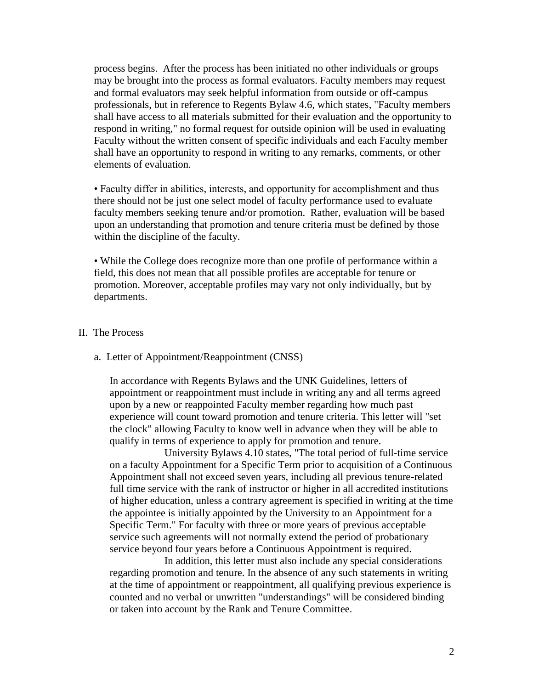process begins. After the process has been initiated no other individuals or groups may be brought into the process as formal evaluators. Faculty members may request and formal evaluators may seek helpful information from outside or off-campus professionals, but in reference to Regents Bylaw 4.6, which states, "Faculty members shall have access to all materials submitted for their evaluation and the opportunity to respond in writing," no formal request for outside opinion will be used in evaluating Faculty without the written consent of specific individuals and each Faculty member shall have an opportunity to respond in writing to any remarks, comments, or other elements of evaluation.

• Faculty differ in abilities, interests, and opportunity for accomplishment and thus there should not be just one select model of faculty performance used to evaluate faculty members seeking tenure and/or promotion. Rather, evaluation will be based upon an understanding that promotion and tenure criteria must be defined by those within the discipline of the faculty.

• While the College does recognize more than one profile of performance within a field, this does not mean that all possible profiles are acceptable for tenure or promotion. Moreover, acceptable profiles may vary not only individually, but by departments.

## II. The Process

### a. Letter of Appointment/Reappointment (CNSS)

In accordance with Regents Bylaws and the UNK Guidelines, letters of appointment or reappointment must include in writing any and all terms agreed upon by a new or reappointed Faculty member regarding how much past experience will count toward promotion and tenure criteria. This letter will "set the clock" allowing Faculty to know well in advance when they will be able to qualify in terms of experience to apply for promotion and tenure.

University Bylaws 4.10 states, "The total period of full-time service on a faculty Appointment for a Specific Term prior to acquisition of a Continuous Appointment shall not exceed seven years, including all previous tenure-related full time service with the rank of instructor or higher in all accredited institutions of higher education, unless a contrary agreement is specified in writing at the time the appointee is initially appointed by the University to an Appointment for a Specific Term." For faculty with three or more years of previous acceptable service such agreements will not normally extend the period of probationary service beyond four years before a Continuous Appointment is required.

In addition, this letter must also include any special considerations regarding promotion and tenure. In the absence of any such statements in writing at the time of appointment or reappointment, all qualifying previous experience is counted and no verbal or unwritten "understandings" will be considered binding or taken into account by the Rank and Tenure Committee.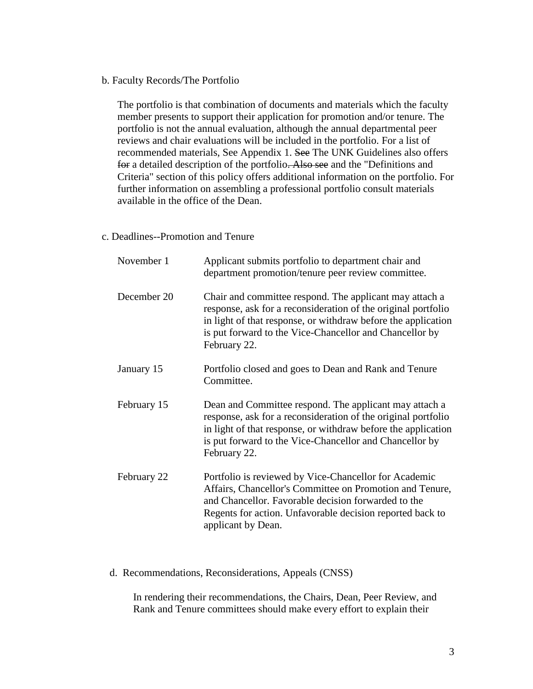b. Faculty Records/The Portfolio

The portfolio is that combination of documents and materials which the faculty member presents to support their application for promotion and/or tenure. The portfolio is not the annual evaluation, although the annual departmental peer reviews and chair evaluations will be included in the portfolio. For a list of recommended materials, See Appendix 1. See The UNK Guidelines also offers for a detailed description of the portfolio. Also see and the "Definitions and Criteria" section of this policy offers additional information on the portfolio. For further information on assembling a professional portfolio consult materials available in the office of the Dean.

c. Deadlines--Promotion and Tenure

| November 1  | Applicant submits portfolio to department chair and<br>department promotion/tenure peer review committee.                                                                                                                                                            |
|-------------|----------------------------------------------------------------------------------------------------------------------------------------------------------------------------------------------------------------------------------------------------------------------|
| December 20 | Chair and committee respond. The applicant may attach a<br>response, ask for a reconsideration of the original portfolio<br>in light of that response, or withdraw before the application<br>is put forward to the Vice-Chancellor and Chancellor by<br>February 22. |
| January 15  | Portfolio closed and goes to Dean and Rank and Tenure<br>Committee.                                                                                                                                                                                                  |
| February 15 | Dean and Committee respond. The applicant may attach a<br>response, ask for a reconsideration of the original portfolio<br>in light of that response, or withdraw before the application<br>is put forward to the Vice-Chancellor and Chancellor by<br>February 22.  |
| February 22 | Portfolio is reviewed by Vice-Chancellor for Academic<br>Affairs, Chancellor's Committee on Promotion and Tenure,<br>and Chancellor. Favorable decision forwarded to the<br>Regents for action. Unfavorable decision reported back to<br>applicant by Dean.          |

d. Recommendations, Reconsiderations, Appeals (CNSS)

In rendering their recommendations, the Chairs, Dean, Peer Review, and Rank and Tenure committees should make every effort to explain their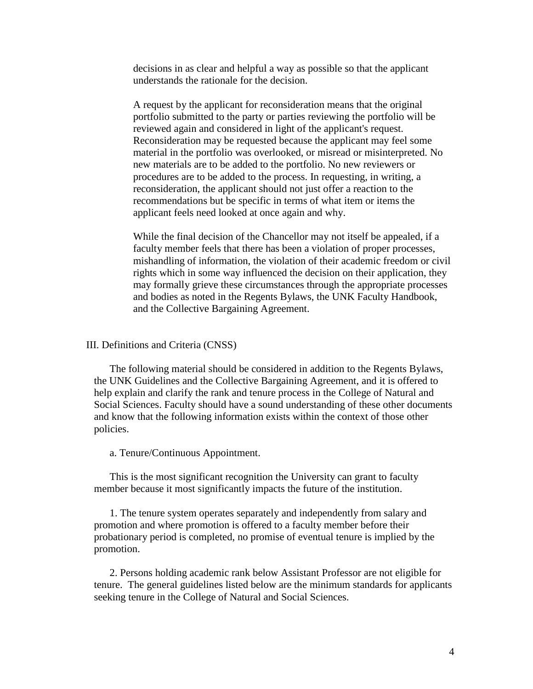decisions in as clear and helpful a way as possible so that the applicant understands the rationale for the decision.

A request by the applicant for reconsideration means that the original portfolio submitted to the party or parties reviewing the portfolio will be reviewed again and considered in light of the applicant's request. Reconsideration may be requested because the applicant may feel some material in the portfolio was overlooked, or misread or misinterpreted. No new materials are to be added to the portfolio. No new reviewers or procedures are to be added to the process. In requesting, in writing, a reconsideration, the applicant should not just offer a reaction to the recommendations but be specific in terms of what item or items the applicant feels need looked at once again and why.

While the final decision of the Chancellor may not itself be appealed, if a faculty member feels that there has been a violation of proper processes, mishandling of information, the violation of their academic freedom or civil rights which in some way influenced the decision on their application, they may formally grieve these circumstances through the appropriate processes and bodies as noted in the Regents Bylaws, the UNK Faculty Handbook, and the Collective Bargaining Agreement.

### III. Definitions and Criteria (CNSS)

The following material should be considered in addition to the Regents Bylaws, the UNK Guidelines and the Collective Bargaining Agreement, and it is offered to help explain and clarify the rank and tenure process in the College of Natural and Social Sciences. Faculty should have a sound understanding of these other documents and know that the following information exists within the context of those other policies.

a. Tenure/Continuous Appointment.

This is the most significant recognition the University can grant to faculty member because it most significantly impacts the future of the institution.

1. The tenure system operates separately and independently from salary and promotion and where promotion is offered to a faculty member before their probationary period is completed, no promise of eventual tenure is implied by the promotion.

2. Persons holding academic rank below Assistant Professor are not eligible for tenure. The general guidelines listed below are the minimum standards for applicants seeking tenure in the College of Natural and Social Sciences.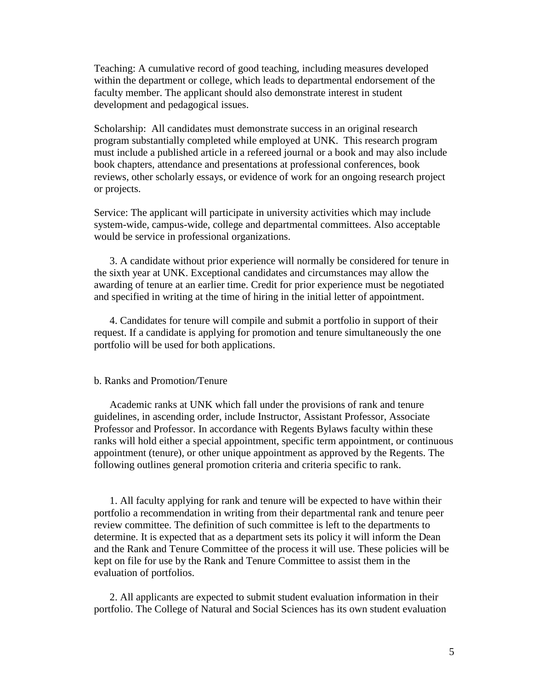Teaching: A cumulative record of good teaching, including measures developed within the department or college, which leads to departmental endorsement of the faculty member. The applicant should also demonstrate interest in student development and pedagogical issues.

Scholarship: All candidates must demonstrate success in an original research program substantially completed while employed at UNK. This research program must include a published article in a refereed journal or a book and may also include book chapters, attendance and presentations at professional conferences, book reviews, other scholarly essays, or evidence of work for an ongoing research project or projects.

Service: The applicant will participate in university activities which may include system-wide, campus-wide, college and departmental committees. Also acceptable would be service in professional organizations.

3. A candidate without prior experience will normally be considered for tenure in the sixth year at UNK. Exceptional candidates and circumstances may allow the awarding of tenure at an earlier time. Credit for prior experience must be negotiated and specified in writing at the time of hiring in the initial letter of appointment.

4. Candidates for tenure will compile and submit a portfolio in support of their request. If a candidate is applying for promotion and tenure simultaneously the one portfolio will be used for both applications.

#### b. Ranks and Promotion/Tenure

Academic ranks at UNK which fall under the provisions of rank and tenure guidelines, in ascending order, include Instructor, Assistant Professor, Associate Professor and Professor. In accordance with Regents Bylaws faculty within these ranks will hold either a special appointment, specific term appointment, or continuous appointment (tenure), or other unique appointment as approved by the Regents. The following outlines general promotion criteria and criteria specific to rank.

1. All faculty applying for rank and tenure will be expected to have within their portfolio a recommendation in writing from their departmental rank and tenure peer review committee. The definition of such committee is left to the departments to determine. It is expected that as a department sets its policy it will inform the Dean and the Rank and Tenure Committee of the process it will use. These policies will be kept on file for use by the Rank and Tenure Committee to assist them in the evaluation of portfolios.

2. All applicants are expected to submit student evaluation information in their portfolio. The College of Natural and Social Sciences has its own student evaluation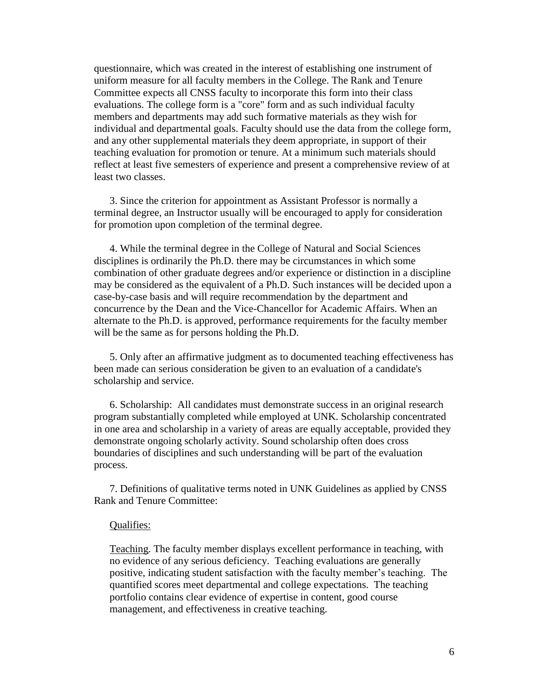questionnaire, which was created in the interest of establishing one instrument of uniform measure for all faculty members in the College. The Rank and Tenure Committee expects all CNSS faculty to incorporate this form into their class evaluations. The college form is a "core" form and as such individual faculty members and departments may add such formative materials as they wish for individual and departmental goals. Faculty should use the data from the college form, and any other supplemental materials they deem appropriate, in support of their teaching evaluation for promotion or tenure. At a minimum such materials should reflect at least five semesters of experience and present a comprehensive review of at least two classes.

3. Since the criterion for appointment as Assistant Professor is normally a terminal degree, an Instructor usually will be encouraged to apply for consideration for promotion upon completion of the terminal degree.

4. While the terminal degree in the College of Natural and Social Sciences disciplines is ordinarily the Ph.D. there may be circumstances in which some combination of other graduate degrees and/or experience or distinction in a discipline may be considered as the equivalent of a Ph.D. Such instances will be decided upon a case-by-case basis and will require recommendation by the department and concurrence by the Dean and the Vice-Chancellor for Academic Affairs. When an alternate to the Ph.D. is approved, performance requirements for the faculty member will be the same as for persons holding the Ph.D.

5. Only after an affirmative judgment as to documented teaching effectiveness has been made can serious consideration be given to an evaluation of a candidate's scholarship and service.

6. Scholarship: All candidates must demonstrate success in an original research program substantially completed while employed at UNK. Scholarship concentrated in one area and scholarship in a variety of areas are equally acceptable, provided they demonstrate ongoing scholarly activity. Sound scholarship often does cross boundaries of disciplines and such understanding will be part of the evaluation process.

7. Definitions of qualitative terms noted in UNK Guidelines as applied by CNSS Rank and Tenure Committee:

#### Qualifies:

Teaching. The faculty member displays excellent performance in teaching, with no evidence of any serious deficiency. Teaching evaluations are generally positive, indicating student satisfaction with the faculty member's teaching. The quantified scores meet departmental and college expectations. The teaching portfolio contains clear evidence of expertise in content, good course management, and effectiveness in creative teaching.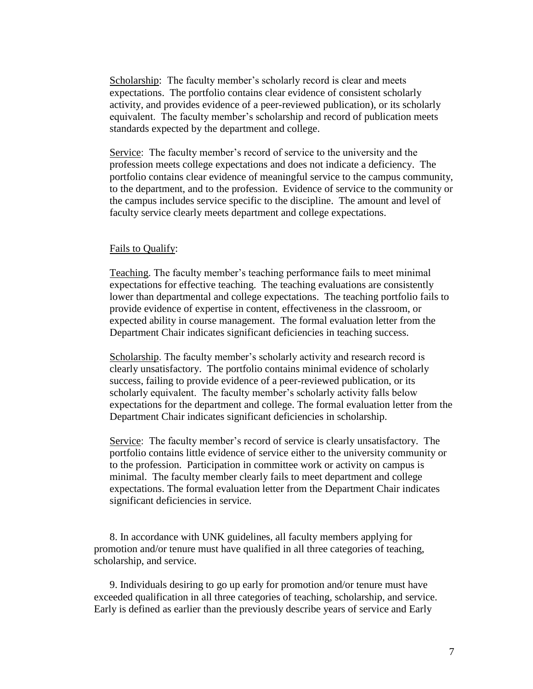Scholarship: The faculty member's scholarly record is clear and meets expectations. The portfolio contains clear evidence of consistent scholarly activity, and provides evidence of a peer-reviewed publication), or its scholarly equivalent. The faculty member's scholarship and record of publication meets standards expected by the department and college.

Service: The faculty member's record of service to the university and the profession meets college expectations and does not indicate a deficiency. The portfolio contains clear evidence of meaningful service to the campus community, to the department, and to the profession. Evidence of service to the community or the campus includes service specific to the discipline. The amount and level of faculty service clearly meets department and college expectations.

#### Fails to Qualify:

Teaching. The faculty member's teaching performance fails to meet minimal expectations for effective teaching. The teaching evaluations are consistently lower than departmental and college expectations. The teaching portfolio fails to provide evidence of expertise in content, effectiveness in the classroom, or expected ability in course management. The formal evaluation letter from the Department Chair indicates significant deficiencies in teaching success.

Scholarship. The faculty member's scholarly activity and research record is clearly unsatisfactory. The portfolio contains minimal evidence of scholarly success, failing to provide evidence of a peer-reviewed publication, or its scholarly equivalent. The faculty member's scholarly activity falls below expectations for the department and college. The formal evaluation letter from the Department Chair indicates significant deficiencies in scholarship.

Service: The faculty member's record of service is clearly unsatisfactory. The portfolio contains little evidence of service either to the university community or to the profession. Participation in committee work or activity on campus is minimal. The faculty member clearly fails to meet department and college expectations. The formal evaluation letter from the Department Chair indicates significant deficiencies in service.

8. In accordance with UNK guidelines, all faculty members applying for promotion and/or tenure must have qualified in all three categories of teaching, scholarship, and service.

9. Individuals desiring to go up early for promotion and/or tenure must have exceeded qualification in all three categories of teaching, scholarship, and service. Early is defined as earlier than the previously describe years of service and Early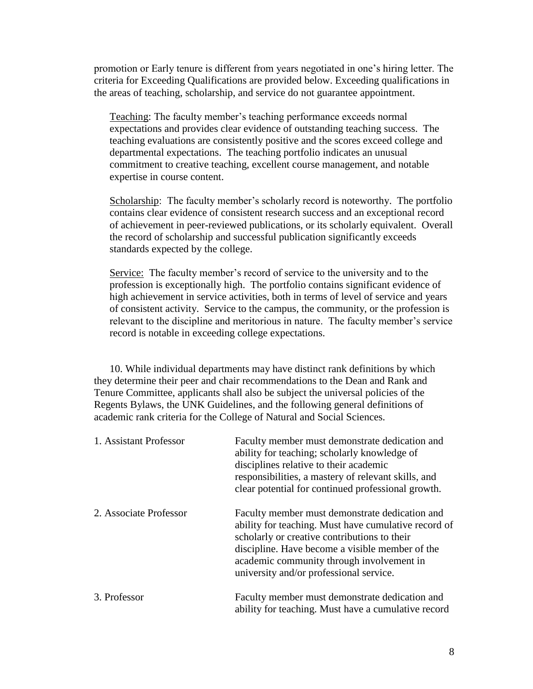promotion or Early tenure is different from years negotiated in one's hiring letter. The criteria for Exceeding Qualifications are provided below. Exceeding qualifications in the areas of teaching, scholarship, and service do not guarantee appointment.

Teaching: The faculty member's teaching performance exceeds normal expectations and provides clear evidence of outstanding teaching success. The teaching evaluations are consistently positive and the scores exceed college and departmental expectations. The teaching portfolio indicates an unusual commitment to creative teaching, excellent course management, and notable expertise in course content.

Scholarship: The faculty member's scholarly record is noteworthy. The portfolio contains clear evidence of consistent research success and an exceptional record of achievement in peer-reviewed publications, or its scholarly equivalent. Overall the record of scholarship and successful publication significantly exceeds standards expected by the college.

Service: The faculty member's record of service to the university and to the profession is exceptionally high. The portfolio contains significant evidence of high achievement in service activities, both in terms of level of service and years of consistent activity. Service to the campus, the community, or the profession is relevant to the discipline and meritorious in nature. The faculty member's service record is notable in exceeding college expectations.

10. While individual departments may have distinct rank definitions by which they determine their peer and chair recommendations to the Dean and Rank and Tenure Committee, applicants shall also be subject the universal policies of the Regents Bylaws, the UNK Guidelines, and the following general definitions of academic rank criteria for the College of Natural and Social Sciences.

| 1. Assistant Professor | Faculty member must demonstrate dedication and<br>ability for teaching; scholarly knowledge of<br>disciplines relative to their academic<br>responsibilities, a mastery of relevant skills, and<br>clear potential for continued professional growth.                                             |
|------------------------|---------------------------------------------------------------------------------------------------------------------------------------------------------------------------------------------------------------------------------------------------------------------------------------------------|
| 2. Associate Professor | Faculty member must demonstrate dedication and<br>ability for teaching. Must have cumulative record of<br>scholarly or creative contributions to their<br>discipline. Have become a visible member of the<br>academic community through involvement in<br>university and/or professional service. |
| 3. Professor           | Faculty member must demonstrate dedication and<br>ability for teaching. Must have a cumulative record                                                                                                                                                                                             |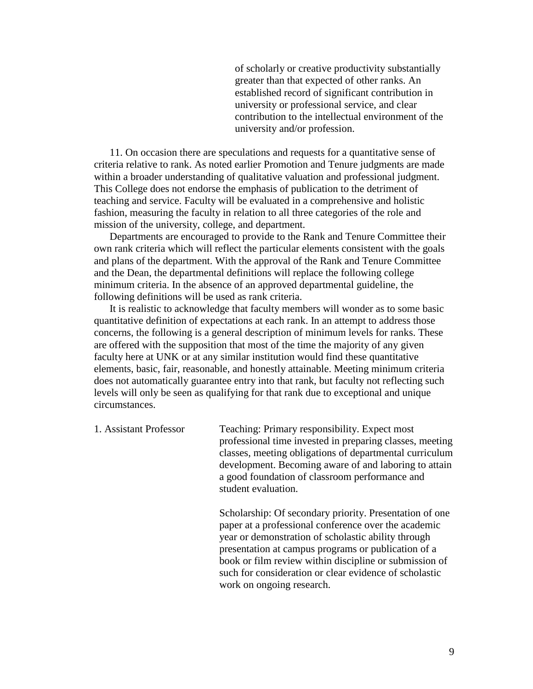of scholarly or creative productivity substantially greater than that expected of other ranks. An established record of significant contribution in university or professional service, and clear contribution to the intellectual environment of the university and/or profession.

11. On occasion there are speculations and requests for a quantitative sense of criteria relative to rank. As noted earlier Promotion and Tenure judgments are made within a broader understanding of qualitative valuation and professional judgment. This College does not endorse the emphasis of publication to the detriment of teaching and service. Faculty will be evaluated in a comprehensive and holistic fashion, measuring the faculty in relation to all three categories of the role and mission of the university, college, and department.

Departments are encouraged to provide to the Rank and Tenure Committee their own rank criteria which will reflect the particular elements consistent with the goals and plans of the department. With the approval of the Rank and Tenure Committee and the Dean, the departmental definitions will replace the following college minimum criteria. In the absence of an approved departmental guideline, the following definitions will be used as rank criteria.

It is realistic to acknowledge that faculty members will wonder as to some basic quantitative definition of expectations at each rank. In an attempt to address those concerns, the following is a general description of minimum levels for ranks. These are offered with the supposition that most of the time the majority of any given faculty here at UNK or at any similar institution would find these quantitative elements, basic, fair, reasonable, and honestly attainable. Meeting minimum criteria does not automatically guarantee entry into that rank, but faculty not reflecting such levels will only be seen as qualifying for that rank due to exceptional and unique circumstances.

1. Assistant Professor Teaching: Primary responsibility. Expect most professional time invested in preparing classes, meeting classes, meeting obligations of departmental curriculum development. Becoming aware of and laboring to attain a good foundation of classroom performance and student evaluation.

> Scholarship: Of secondary priority. Presentation of one paper at a professional conference over the academic year or demonstration of scholastic ability through presentation at campus programs or publication of a book or film review within discipline or submission of such for consideration or clear evidence of scholastic work on ongoing research.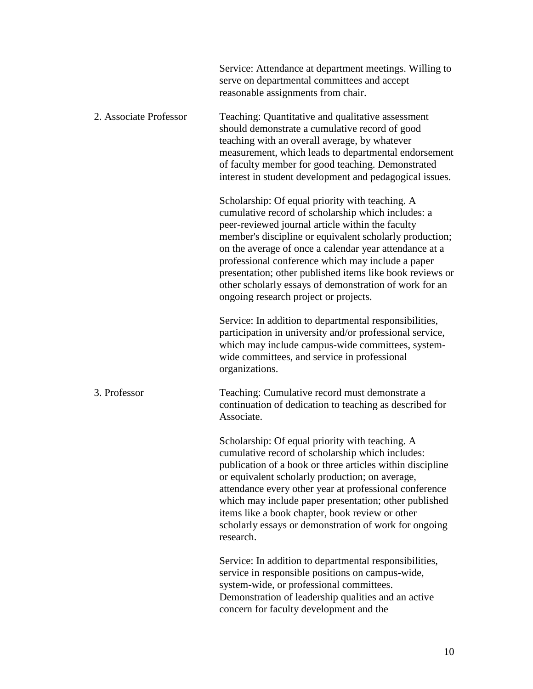|                        | Service: Attendance at department meetings. Willing to<br>serve on departmental committees and accept<br>reasonable assignments from chair.                                                                                                                                                                                                                                                                                                                                                        |
|------------------------|----------------------------------------------------------------------------------------------------------------------------------------------------------------------------------------------------------------------------------------------------------------------------------------------------------------------------------------------------------------------------------------------------------------------------------------------------------------------------------------------------|
| 2. Associate Professor | Teaching: Quantitative and qualitative assessment<br>should demonstrate a cumulative record of good<br>teaching with an overall average, by whatever<br>measurement, which leads to departmental endorsement<br>of faculty member for good teaching. Demonstrated<br>interest in student development and pedagogical issues.                                                                                                                                                                       |
|                        | Scholarship: Of equal priority with teaching. A<br>cumulative record of scholarship which includes: a<br>peer-reviewed journal article within the faculty<br>member's discipline or equivalent scholarly production;<br>on the average of once a calendar year attendance at a<br>professional conference which may include a paper<br>presentation; other published items like book reviews or<br>other scholarly essays of demonstration of work for an<br>ongoing research project or projects. |
|                        | Service: In addition to departmental responsibilities,<br>participation in university and/or professional service,<br>which may include campus-wide committees, system-<br>wide committees, and service in professional<br>organizations.                                                                                                                                                                                                                                                          |
| 3. Professor           | Teaching: Cumulative record must demonstrate a<br>continuation of dedication to teaching as described for<br>Associate.                                                                                                                                                                                                                                                                                                                                                                            |
|                        | Scholarship: Of equal priority with teaching. A<br>cumulative record of scholarship which includes:<br>publication of a book or three articles within discipline<br>or equivalent scholarly production; on average,<br>attendance every other year at professional conference<br>which may include paper presentation; other published<br>items like a book chapter, book review or other<br>scholarly essays or demonstration of work for ongoing<br>research.                                    |
|                        | Service: In addition to departmental responsibilities,<br>service in responsible positions on campus-wide,<br>system-wide, or professional committees.<br>Demonstration of leadership qualities and an active<br>concern for faculty development and the                                                                                                                                                                                                                                           |